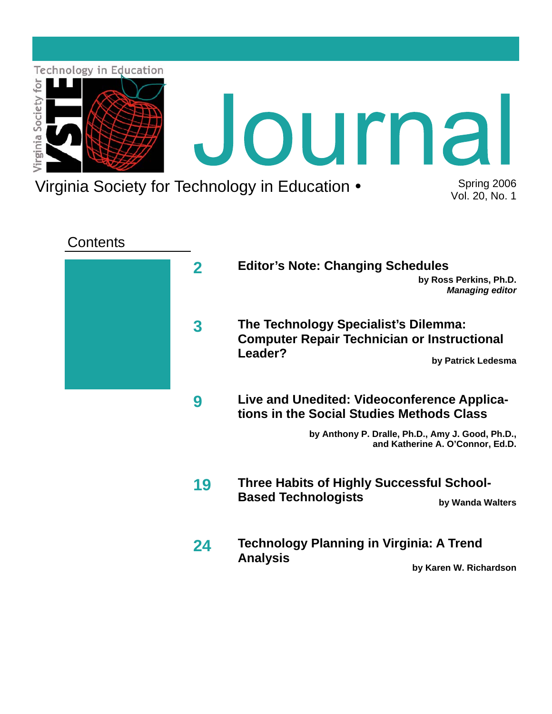

Virginia Society for Technology in Education • Spring 2006

Vol. 20, No. 1

## **Contents**



- **2 Editor's Note: Changing Schedules by Ross Perkins, Ph.D.**  *Managing editor* 
	- **The Technology Specialist's Dilemma: Computer Repair Technician or Instructional Leader?**

**by Patrick Ledesma** 

**Live and Unedited: Videoconference Applications in the Social Studies Methods Class 9** 

> **by Anthony P. Dralle, Ph.D., Amy J. Good, Ph.D., and Katherine A. O'Connor, Ed.D.**

- **Three Habits of Highly Successful School-Based Technologists** by Wanda Walters **19**
- **Technology Planning in Virginia: A Trend Analysis by Karen W. Richardson 24**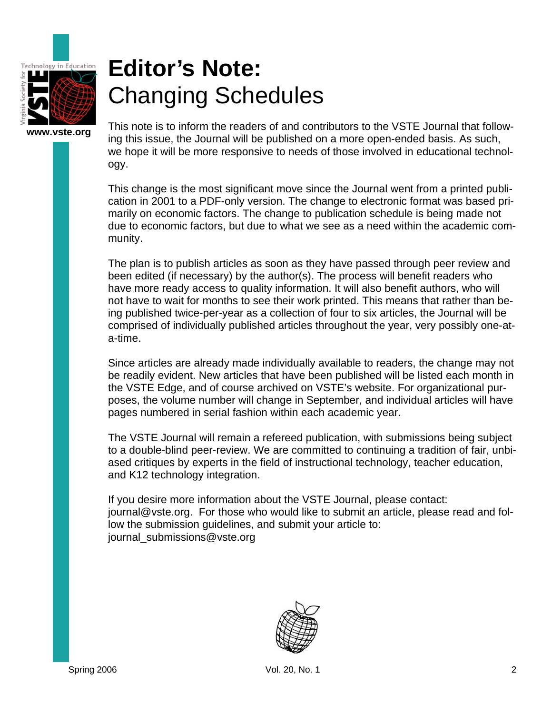

# **Editor's Note:** Changing Schedules

**www.vste.org** 

This note is to inform the readers of and contributors to the VSTE Journal that following this issue, the Journal will be published on a more open-ended basis. As such, we hope it will be more responsive to needs of those involved in educational technology.

This change is the most significant move since the Journal went from a printed publication in 2001 to a PDF-only version. The change to electronic format was based primarily on economic factors. The change to publication schedule is being made not due to economic factors, but due to what we see as a need within the academic community.

The plan is to publish articles as soon as they have passed through peer review and been edited (if necessary) by the author(s). The process will benefit readers who have more ready access to quality information. It will also benefit authors, who will not have to wait for months to see their work printed. This means that rather than being published twice-per-year as a collection of four to six articles, the Journal will be comprised of individually published articles throughout the year, very possibly one-ata-time.

Since articles are already made individually available to readers, the change may not be readily evident. New articles that have been published will be listed each month in the VSTE Edge, and of course archived on VSTE's website. For organizational purposes, the volume number will change in September, and individual articles will have pages numbered in serial fashion within each academic year.

The VSTE Journal will remain a refereed publication, with submissions being subject to a double-blind peer-review. We are committed to continuing a tradition of fair, unbiased critiques by experts in the field of instructional technology, teacher education, and K12 technology integration.

If you desire more information about the VSTE Journal, please contact: journal@vste.org. For those who would like to submit an article, please read and follow the submission guidelines, and submit your article to: journal\_submissions@vste.org

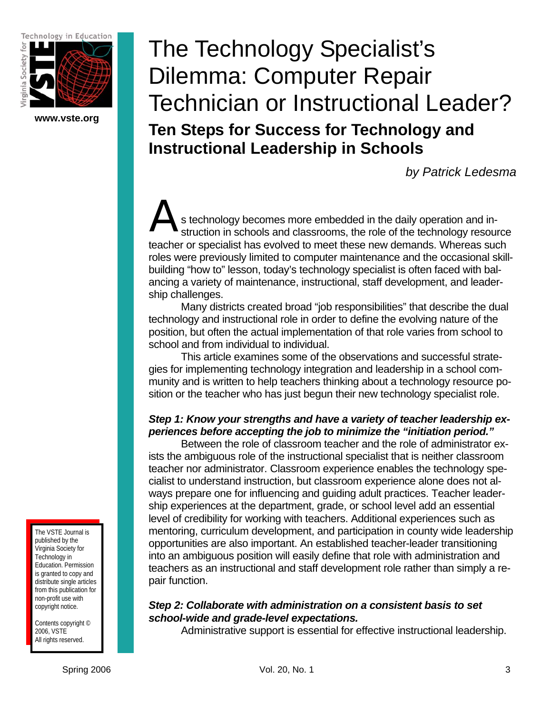Technology in Education



**www.vste.org** 

# The Technology Specialist's Dilemma: Computer Repair Technician or Instructional Leader? **Ten Steps for Success for Technology and Instructional Leadership in Schools**

*by Patrick Ledesma* 

s technology becomes more embedded in the daily operation and instruction in schools and classrooms, the role of the technology resource teacher or specialist has evolved to meet these new demands. Whereas such roles were previously limited to computer maintenance and the occasional skillbuilding "how to" lesson, today's technology specialist is often faced with balancing a variety of maintenance, instructional, staff development, and leadership challenges.  $\mathbf{A}_{\text{struc}}$ 

 Many districts created broad "job responsibilities" that describe the dual technology and instructional role in order to define the evolving nature of the position, but often the actual implementation of that role varies from school to school and from individual to individual.

 This article examines some of the observations and successful strategies for implementing technology integration and leadership in a school community and is written to help teachers thinking about a technology resource position or the teacher who has just begun their new technology specialist role.

## *Step 1: Know your strengths and have a variety of teacher leadership experiences before accepting the job to minimize the "initiation period."*

Between the role of classroom teacher and the role of administrator exists the ambiguous role of the instructional specialist that is neither classroom teacher nor administrator. Classroom experience enables the technology specialist to understand instruction, but classroom experience alone does not always prepare one for influencing and guiding adult practices. Teacher leadership experiences at the department, grade, or school level add an essential level of credibility for working with teachers. Additional experiences such as mentoring, curriculum development, and participation in county wide leadership opportunities are also important. An established teacher-leader transitioning into an ambiguous position will easily define that role with administration and teachers as an instructional and staff development role rather than simply a repair function.

## *Step 2: Collaborate with administration on a consistent basis to set school-wide and grade-level expectations.*

Administrative support is essential for effective instructional leadership.

The VSTE Journal is published by the Virginia Society for Technology in Education. Permission is granted to copy and distribute single articles from this publication for non-profit use with copyright notice.

Contents copyright © 2006, VSTE All rights reserved.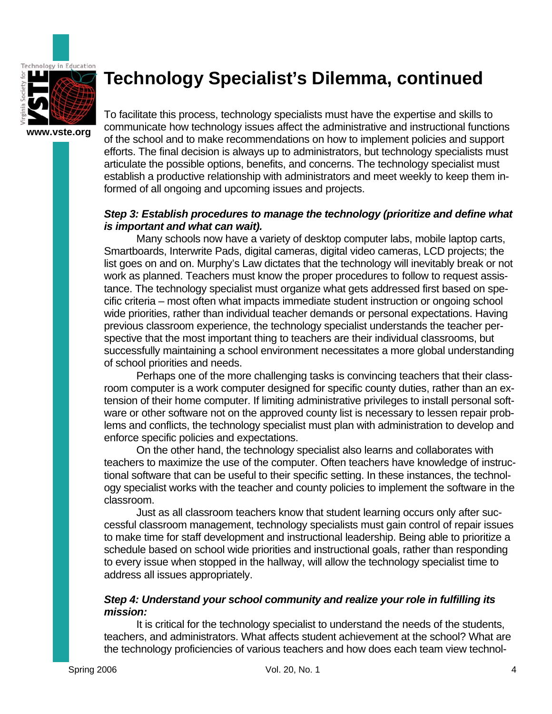

## **Technology Specialist's Dilemma, continued**

To facilitate this process, technology specialists must have the expertise and skills to communicate how technology issues affect the administrative and instructional functions of the school and to make recommendations on how to implement policies and support efforts. The final decision is always up to administrators, but technology specialists must articulate the possible options, benefits, and concerns. The technology specialist must establish a productive relationship with administrators and meet weekly to keep them informed of all ongoing and upcoming issues and projects.

### *Step 3: Establish procedures to manage the technology (prioritize and define what is important and what can wait).*

 Many schools now have a variety of desktop computer labs, mobile laptop carts, Smartboards, Interwrite Pads, digital cameras, digital video cameras, LCD projects; the list goes on and on. Murphy's Law dictates that the technology will inevitably break or not work as planned. Teachers must know the proper procedures to follow to request assistance. The technology specialist must organize what gets addressed first based on specific criteria – most often what impacts immediate student instruction or ongoing school wide priorities, rather than individual teacher demands or personal expectations. Having previous classroom experience, the technology specialist understands the teacher perspective that the most important thing to teachers are their individual classrooms, but successfully maintaining a school environment necessitates a more global understanding of school priorities and needs.

 Perhaps one of the more challenging tasks is convincing teachers that their classroom computer is a work computer designed for specific county duties, rather than an extension of their home computer. If limiting administrative privileges to install personal software or other software not on the approved county list is necessary to lessen repair problems and conflicts, the technology specialist must plan with administration to develop and enforce specific policies and expectations.

 On the other hand, the technology specialist also learns and collaborates with teachers to maximize the use of the computer. Often teachers have knowledge of instructional software that can be useful to their specific setting. In these instances, the technology specialist works with the teacher and county policies to implement the software in the classroom.

 Just as all classroom teachers know that student learning occurs only after successful classroom management, technology specialists must gain control of repair issues to make time for staff development and instructional leadership. Being able to prioritize a schedule based on school wide priorities and instructional goals, rather than responding to every issue when stopped in the hallway, will allow the technology specialist time to address all issues appropriately.

### *Step 4: Understand your school community and realize your role in fulfilling its mission:*

 It is critical for the technology specialist to understand the needs of the students, teachers, and administrators. What affects student achievement at the school? What are the technology proficiencies of various teachers and how does each team view technol-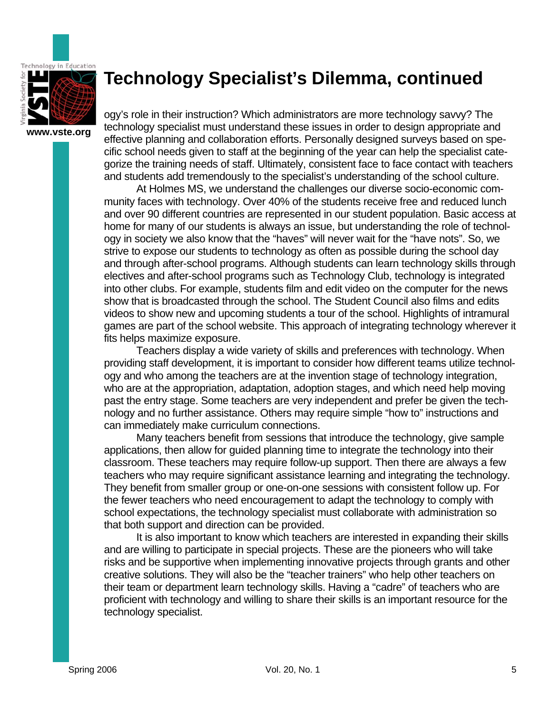

## **Technology Specialist's Dilemma, continued**

ogy's role in their instruction? Which administrators are more technology savvy? The technology specialist must understand these issues in order to design appropriate and effective planning and collaboration efforts. Personally designed surveys based on specific school needs given to staff at the beginning of the year can help the specialist categorize the training needs of staff. Ultimately, consistent face to face contact with teachers and students add tremendously to the specialist's understanding of the school culture.

 At Holmes MS, we understand the challenges our diverse socio-economic community faces with technology. Over 40% of the students receive free and reduced lunch and over 90 different countries are represented in our student population. Basic access at home for many of our students is always an issue, but understanding the role of technology in society we also know that the "haves" will never wait for the "have nots". So, we strive to expose our students to technology as often as possible during the school day and through after-school programs. Although students can learn technology skills through electives and after-school programs such as Technology Club, technology is integrated into other clubs. For example, students film and edit video on the computer for the news show that is broadcasted through the school. The Student Council also films and edits videos to show new and upcoming students a tour of the school. Highlights of intramural games are part of the school website. This approach of integrating technology wherever it fits helps maximize exposure.

 Teachers display a wide variety of skills and preferences with technology. When providing staff development, it is important to consider how different teams utilize technology and who among the teachers are at the invention stage of technology integration, who are at the appropriation, adaptation, adoption stages, and which need help moving past the entry stage. Some teachers are very independent and prefer be given the technology and no further assistance. Others may require simple "how to" instructions and can immediately make curriculum connections.

 Many teachers benefit from sessions that introduce the technology, give sample applications, then allow for guided planning time to integrate the technology into their classroom. These teachers may require follow-up support. Then there are always a few teachers who may require significant assistance learning and integrating the technology. They benefit from smaller group or one-on-one sessions with consistent follow up. For the fewer teachers who need encouragement to adapt the technology to comply with school expectations, the technology specialist must collaborate with administration so that both support and direction can be provided.

 It is also important to know which teachers are interested in expanding their skills and are willing to participate in special projects. These are the pioneers who will take risks and be supportive when implementing innovative projects through grants and other creative solutions. They will also be the "teacher trainers" who help other teachers on their team or department learn technology skills. Having a "cadre" of teachers who are proficient with technology and willing to share their skills is an important resource for the technology specialist.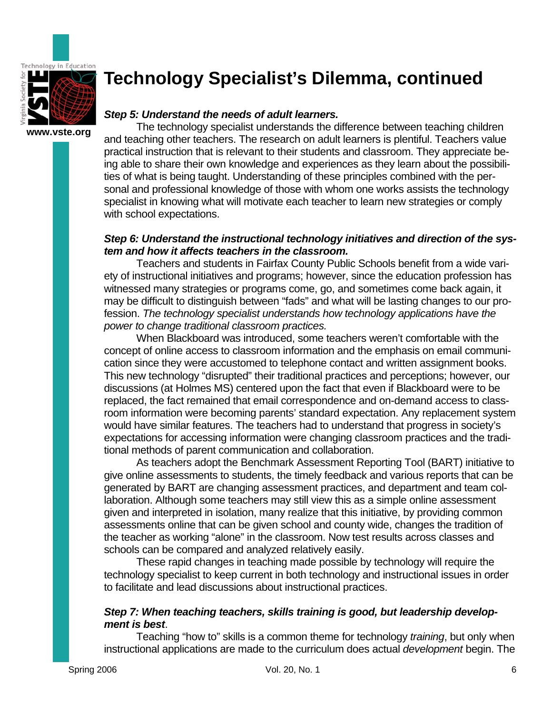

**www.vste.org** 

## **Technology Specialist's Dilemma, continued**

### *Step 5: Understand the needs of adult learners.*

The technology specialist understands the difference between teaching children and teaching other teachers. The research on adult learners is plentiful. Teachers value practical instruction that is relevant to their students and classroom. They appreciate being able to share their own knowledge and experiences as they learn about the possibilities of what is being taught. Understanding of these principles combined with the personal and professional knowledge of those with whom one works assists the technology specialist in knowing what will motivate each teacher to learn new strategies or comply with school expectations.

### *Step 6: Understand the instructional technology initiatives and direction of the system and how it affects teachers in the classroom.*

Teachers and students in Fairfax County Public Schools benefit from a wide variety of instructional initiatives and programs; however, since the education profession has witnessed many strategies or programs come, go, and sometimes come back again, it may be difficult to distinguish between "fads" and what will be lasting changes to our profession. *The technology specialist understands how technology applications have the power to change traditional classroom practices.*

 When Blackboard was introduced, some teachers weren't comfortable with the concept of online access to classroom information and the emphasis on email communication since they were accustomed to telephone contact and written assignment books. This new technology "disrupted" their traditional practices and perceptions; however, our discussions (at Holmes MS) centered upon the fact that even if Blackboard were to be replaced, the fact remained that email correspondence and on-demand access to classroom information were becoming parents' standard expectation. Any replacement system would have similar features. The teachers had to understand that progress in society's expectations for accessing information were changing classroom practices and the traditional methods of parent communication and collaboration.

 As teachers adopt the Benchmark Assessment Reporting Tool (BART) initiative to give online assessments to students, the timely feedback and various reports that can be generated by BART are changing assessment practices, and department and team collaboration. Although some teachers may still view this as a simple online assessment given and interpreted in isolation, many realize that this initiative, by providing common assessments online that can be given school and county wide, changes the tradition of the teacher as working "alone" in the classroom. Now test results across classes and schools can be compared and analyzed relatively easily.

 These rapid changes in teaching made possible by technology will require the technology specialist to keep current in both technology and instructional issues in order to facilitate and lead discussions about instructional practices.

### *Step 7: When teaching teachers, skills training is good, but leadership development is best*.

 Teaching "how to" skills is a common theme for technology *training*, but only when instructional applications are made to the curriculum does actual *development* begin. The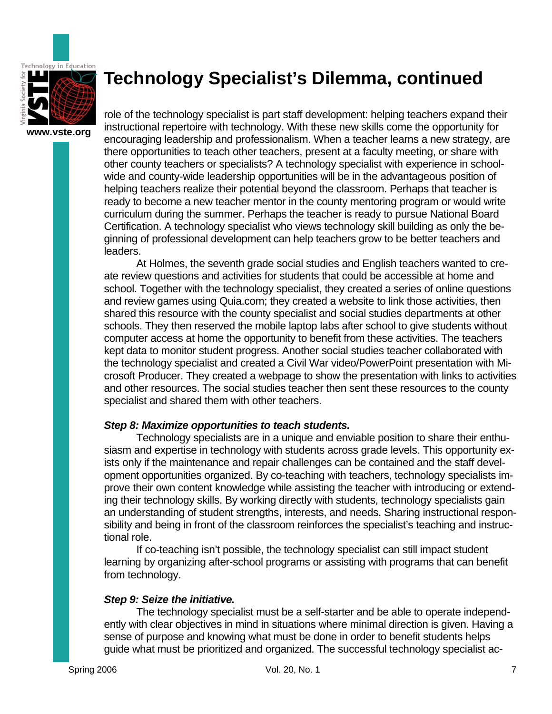

## **Technology Specialist's Dilemma, continued**

role of the technology specialist is part staff development: helping teachers expand their instructional repertoire with technology. With these new skills come the opportunity for encouraging leadership and professionalism. When a teacher learns a new strategy, are there opportunities to teach other teachers, present at a faculty meeting, or share with other county teachers or specialists? A technology specialist with experience in schoolwide and county-wide leadership opportunities will be in the advantageous position of helping teachers realize their potential beyond the classroom. Perhaps that teacher is ready to become a new teacher mentor in the county mentoring program or would write curriculum during the summer. Perhaps the teacher is ready to pursue National Board Certification. A technology specialist who views technology skill building as only the beginning of professional development can help teachers grow to be better teachers and leaders.

 At Holmes, the seventh grade social studies and English teachers wanted to create review questions and activities for students that could be accessible at home and school. Together with the technology specialist, they created a series of online questions and review games using Quia.com; they created a website to link those activities, then shared this resource with the county specialist and social studies departments at other schools. They then reserved the mobile laptop labs after school to give students without computer access at home the opportunity to benefit from these activities. The teachers kept data to monitor student progress. Another social studies teacher collaborated with the technology specialist and created a Civil War video/PowerPoint presentation with Microsoft Producer. They created a webpage to show the presentation with links to activities and other resources. The social studies teacher then sent these resources to the county specialist and shared them with other teachers.

### *Step 8: Maximize opportunities to teach students.*

 Technology specialists are in a unique and enviable position to share their enthusiasm and expertise in technology with students across grade levels. This opportunity exists only if the maintenance and repair challenges can be contained and the staff development opportunities organized. By co-teaching with teachers, technology specialists improve their own content knowledge while assisting the teacher with introducing or extending their technology skills. By working directly with students, technology specialists gain an understanding of student strengths, interests, and needs. Sharing instructional responsibility and being in front of the classroom reinforces the specialist's teaching and instructional role.

 If co-teaching isn't possible, the technology specialist can still impact student learning by organizing after-school programs or assisting with programs that can benefit from technology.

### *Step 9: Seize the initiative.*

 The technology specialist must be a self-starter and be able to operate independently with clear objectives in mind in situations where minimal direction is given. Having a sense of purpose and knowing what must be done in order to benefit students helps guide what must be prioritized and organized. The successful technology specialist ac-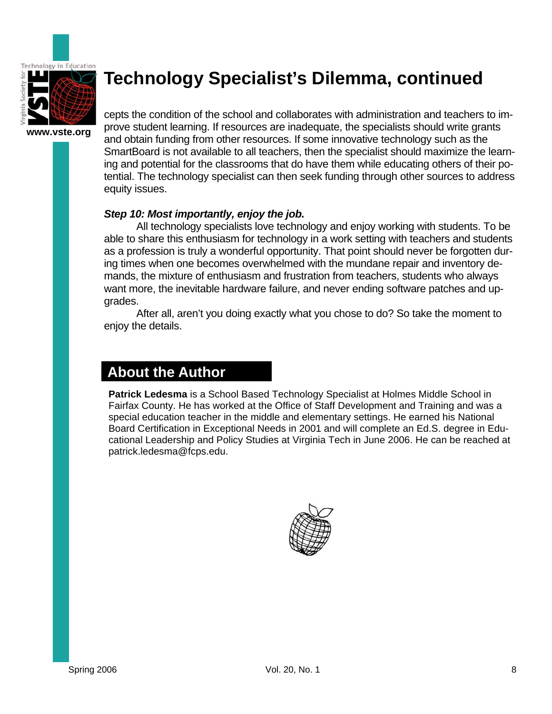

## **Technology Specialist's Dilemma, continued**

cepts the condition of the school and collaborates with administration and teachers to improve student learning. If resources are inadequate, the specialists should write grants and obtain funding from other resources. If some innovative technology such as the SmartBoard is not available to all teachers, then the specialist should maximize the learning and potential for the classrooms that do have them while educating others of their potential. The technology specialist can then seek funding through other sources to address equity issues.

### *Step 10: Most importantly, enjoy the job.*

 All technology specialists love technology and enjoy working with students. To be able to share this enthusiasm for technology in a work setting with teachers and students as a profession is truly a wonderful opportunity. That point should never be forgotten during times when one becomes overwhelmed with the mundane repair and inventory demands, the mixture of enthusiasm and frustration from teachers, students who always want more, the inevitable hardware failure, and never ending software patches and upgrades.

 After all, aren't you doing exactly what you chose to do? So take the moment to enjoy the details.

## **About the Author**

**Patrick Ledesma** is a School Based Technology Specialist at Holmes Middle School in Fairfax County. He has worked at the Office of Staff Development and Training and was a special education teacher in the middle and elementary settings. He earned his National Board Certification in Exceptional Needs in 2001 and will complete an Ed.S. degree in Educational Leadership and Policy Studies at Virginia Tech in June 2006. He can be reached at patrick.ledesma@fcps.edu.

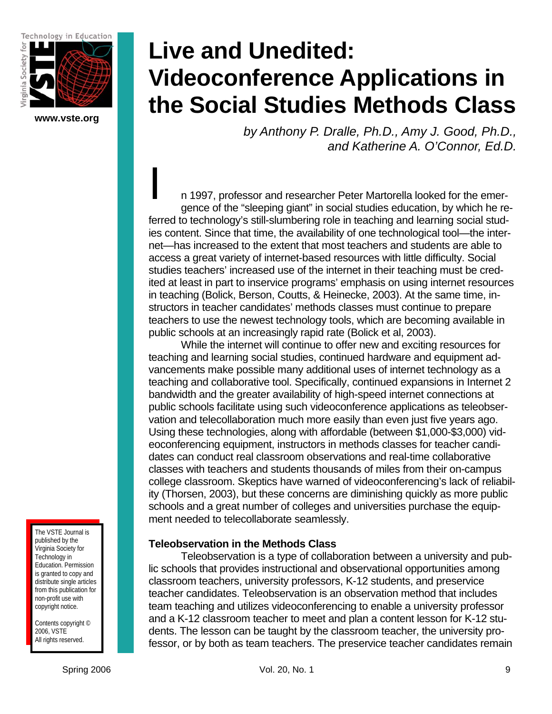Technology in Education



**www.vste.org** 

# **Live and Unedited: Videoconference Applications in the Social Studies Methods Class**

*by Anthony P. Dralle, Ph.D., Amy J. Good, Ph.D., and Katherine A. O'Connor, Ed.D.* 

n 1997, professor and researcher Peter Martorella looked for the emergence of the "sleeping giant" in social studies education, by which he referred to technology's still-slumbering role in teaching and learning social studies content. Since that time, the availability of one technological tool—the internet—has increased to the extent that most teachers and students are able to access a great variety of internet-based resources with little difficulty. Social studies teachers' increased use of the internet in their teaching must be credited at least in part to inservice programs' emphasis on using internet resources in teaching (Bolick, Berson, Coutts, & Heinecke, 2003). At the same time, instructors in teacher candidates' methods classes must continue to prepare teachers to use the newest technology tools, which are becoming available in public schools at an increasingly rapid rate (Bolick et al, 2003).  $\begin{array}{c}\n\hline\n\end{array}$ 

While the internet will continue to offer new and exciting resources for teaching and learning social studies, continued hardware and equipment advancements make possible many additional uses of internet technology as a teaching and collaborative tool. Specifically, continued expansions in Internet 2 bandwidth and the greater availability of high-speed internet connections at public schools facilitate using such videoconference applications as teleobservation and telecollaboration much more easily than even just five years ago. Using these technologies, along with affordable (between \$1,000-\$3,000) videoconferencing equipment, instructors in methods classes for teacher candidates can conduct real classroom observations and real-time collaborative classes with teachers and students thousands of miles from their on-campus college classroom. Skeptics have warned of videoconferencing's lack of reliability (Thorsen, 2003), but these concerns are diminishing quickly as more public schools and a great number of colleges and universities purchase the equipment needed to telecollaborate seamlessly.

### **Teleobservation in the Methods Class**

Teleobservation is a type of collaboration between a university and public schools that provides instructional and observational opportunities among classroom teachers, university professors, K-12 students, and preservice teacher candidates. Teleobservation is an observation method that includes team teaching and utilizes videoconferencing to enable a university professor and a K-12 classroom teacher to meet and plan a content lesson for K-12 students. The lesson can be taught by the classroom teacher, the university professor, or by both as team teachers. The preservice teacher candidates remain

The VSTE Journal is published by the Virginia Society for Technology in Education. Permission is granted to copy and distribute single articles from this publication for non-profit use with copyright notice.

Contents copyright © 2006, VSTE All rights reserved.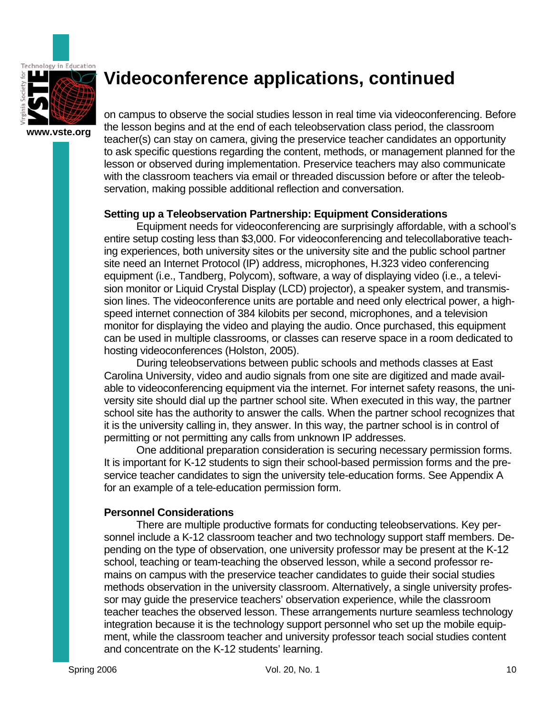

**www.vste.org** 

on campus to observe the social studies lesson in real time via videoconferencing. Before the lesson begins and at the end of each teleobservation class period, the classroom teacher(s) can stay on camera, giving the preservice teacher candidates an opportunity to ask specific questions regarding the content, methods, or management planned for the lesson or observed during implementation. Preservice teachers may also communicate with the classroom teachers via email or threaded discussion before or after the teleobservation, making possible additional reflection and conversation.

### **Setting up a Teleobservation Partnership: Equipment Considerations**

 Equipment needs for videoconferencing are surprisingly affordable, with a school's entire setup costing less than \$3,000. For videoconferencing and telecollaborative teaching experiences, both university sites or the university site and the public school partner site need an Internet Protocol (IP) address, microphones, H.323 video conferencing equipment (i.e., Tandberg, Polycom), software, a way of displaying video (i.e., a television monitor or Liquid Crystal Display (LCD) projector), a speaker system, and transmission lines. The videoconference units are portable and need only electrical power, a highspeed internet connection of 384 kilobits per second, microphones, and a television monitor for displaying the video and playing the audio. Once purchased, this equipment can be used in multiple classrooms, or classes can reserve space in a room dedicated to hosting videoconferences (Holston, 2005).

 During teleobservations between public schools and methods classes at East Carolina University, video and audio signals from one site are digitized and made available to videoconferencing equipment via the internet. For internet safety reasons, the university site should dial up the partner school site. When executed in this way, the partner school site has the authority to answer the calls. When the partner school recognizes that it is the university calling in, they answer. In this way, the partner school is in control of permitting or not permitting any calls from unknown IP addresses.

 One additional preparation consideration is securing necessary permission forms. It is important for K-12 students to sign their school-based permission forms and the preservice teacher candidates to sign the university tele-education forms. See Appendix A for an example of a tele-education permission form.

### **Personnel Considerations**

 There are multiple productive formats for conducting teleobservations. Key personnel include a K-12 classroom teacher and two technology support staff members. Depending on the type of observation, one university professor may be present at the K-12 school, teaching or team-teaching the observed lesson, while a second professor remains on campus with the preservice teacher candidates to guide their social studies methods observation in the university classroom. Alternatively, a single university professor may guide the preservice teachers' observation experience, while the classroom teacher teaches the observed lesson. These arrangements nurture seamless technology integration because it is the technology support personnel who set up the mobile equipment, while the classroom teacher and university professor teach social studies content and concentrate on the K-12 students' learning.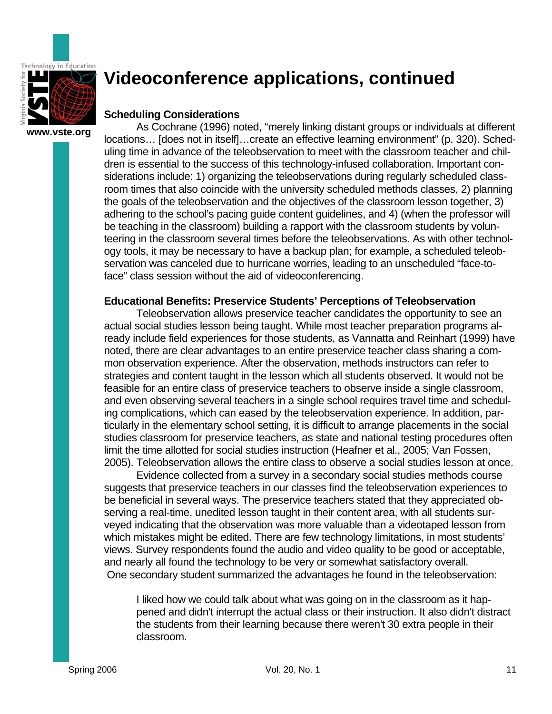

## **Scheduling Considerations**

As Cochrane (1996) noted, "merely linking distant groups or individuals at different locations… [does not in itself]…create an effective learning environment" (p. 320). Scheduling time in advance of the teleobservation to meet with the classroom teacher and children is essential to the success of this technology-infused collaboration. Important considerations include: 1) organizing the teleobservations during regularly scheduled classroom times that also coincide with the university scheduled methods classes, 2) planning the goals of the teleobservation and the objectives of the classroom lesson together, 3) adhering to the school's pacing guide content guidelines, and 4) (when the professor will be teaching in the classroom) building a rapport with the classroom students by volunteering in the classroom several times before the teleobservations. As with other technology tools, it may be necessary to have a backup plan; for example, a scheduled teleobservation was canceled due to hurricane worries, leading to an unscheduled "face-toface" class session without the aid of videoconferencing.

### **Educational Benefits: Preservice Students' Perceptions of Teleobservation**

Teleobservation allows preservice teacher candidates the opportunity to see an actual social studies lesson being taught. While most teacher preparation programs already include field experiences for those students, as Vannatta and Reinhart (1999) have noted, there are clear advantages to an entire preservice teacher class sharing a common observation experience. After the observation, methods instructors can refer to strategies and content taught in the lesson which all students observed. It would not be feasible for an entire class of preservice teachers to observe inside a single classroom, and even observing several teachers in a single school requires travel time and scheduling complications, which can eased by the teleobservation experience. In addition, particularly in the elementary school setting, it is difficult to arrange placements in the social studies classroom for preservice teachers, as state and national testing procedures often limit the time allotted for social studies instruction (Heafner et al., 2005; Van Fossen, 2005). Teleobservation allows the entire class to observe a social studies lesson at once.

Evidence collected from a survey in a secondary social studies methods course suggests that preservice teachers in our classes find the teleobservation experiences to be beneficial in several ways. The preservice teachers stated that they appreciated observing a real-time, unedited lesson taught in their content area, with all students surveyed indicating that the observation was more valuable than a videotaped lesson from which mistakes might be edited. There are few technology limitations, in most students' views. Survey respondents found the audio and video quality to be good or acceptable, and nearly all found the technology to be very or somewhat satisfactory overall. One secondary student summarized the advantages he found in the teleobservation:

I liked how we could talk about what was going on in the classroom as it happened and didn't interrupt the actual class or their instruction. It also didn't distract the students from their learning because there weren't 30 extra people in their classroom.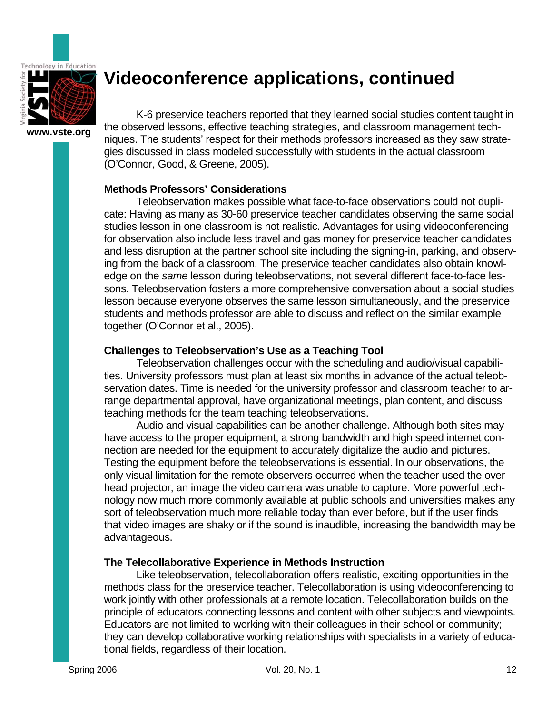

**www.vste.org** 

K-6 preservice teachers reported that they learned social studies content taught in the observed lessons, effective teaching strategies, and classroom management techniques. The students' respect for their methods professors increased as they saw strategies discussed in class modeled successfully with students in the actual classroom (O'Connor, Good, & Greene, 2005).

### **Methods Professors' Considerations**

 Teleobservation makes possible what face-to-face observations could not duplicate: Having as many as 30-60 preservice teacher candidates observing the same social studies lesson in one classroom is not realistic. Advantages for using videoconferencing for observation also include less travel and gas money for preservice teacher candidates and less disruption at the partner school site including the signing-in, parking, and observing from the back of a classroom. The preservice teacher candidates also obtain knowledge on the *same* lesson during teleobservations, not several different face-to-face lessons. Teleobservation fosters a more comprehensive conversation about a social studies lesson because everyone observes the same lesson simultaneously, and the preservice students and methods professor are able to discuss and reflect on the similar example together (O'Connor et al., 2005).

### **Challenges to Teleobservation's Use as a Teaching Tool**

 Teleobservation challenges occur with the scheduling and audio/visual capabilities. University professors must plan at least six months in advance of the actual teleobservation dates. Time is needed for the university professor and classroom teacher to arrange departmental approval, have organizational meetings, plan content, and discuss teaching methods for the team teaching teleobservations.

 Audio and visual capabilities can be another challenge. Although both sites may have access to the proper equipment, a strong bandwidth and high speed internet connection are needed for the equipment to accurately digitalize the audio and pictures. Testing the equipment before the teleobservations is essential. In our observations, the only visual limitation for the remote observers occurred when the teacher used the overhead projector, an image the video camera was unable to capture. More powerful technology now much more commonly available at public schools and universities makes any sort of teleobservation much more reliable today than ever before, but if the user finds that video images are shaky or if the sound is inaudible, increasing the bandwidth may be advantageous.

### **The Telecollaborative Experience in Methods Instruction**

 Like teleobservation, telecollaboration offers realistic, exciting opportunities in the methods class for the preservice teacher. Telecollaboration is using videoconferencing to work jointly with other professionals at a remote location. Telecollaboration builds on the principle of educators connecting lessons and content with other subjects and viewpoints. Educators are not limited to working with their colleagues in their school or community; they can develop collaborative working relationships with specialists in a variety of educational fields, regardless of their location.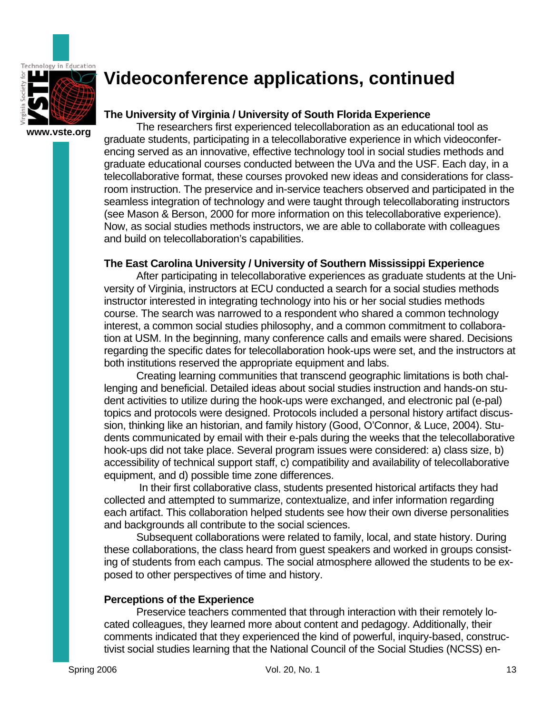

## **The University of Virginia / University of South Florida Experience**

The researchers first experienced telecollaboration as an educational tool as graduate students, participating in a telecollaborative experience in which videoconferencing served as an innovative, effective technology tool in social studies methods and graduate educational courses conducted between the UVa and the USF. Each day, in a telecollaborative format, these courses provoked new ideas and considerations for classroom instruction. The preservice and in-service teachers observed and participated in the seamless integration of technology and were taught through telecollaborating instructors (see Mason & Berson, 2000 for more information on this telecollaborative experience). Now, as social studies methods instructors, we are able to collaborate with colleagues and build on telecollaboration's capabilities.

### **The East Carolina University / University of Southern Mississippi Experience**

After participating in telecollaborative experiences as graduate students at the University of Virginia, instructors at ECU conducted a search for a social studies methods instructor interested in integrating technology into his or her social studies methods course. The search was narrowed to a respondent who shared a common technology interest, a common social studies philosophy, and a common commitment to collaboration at USM. In the beginning, many conference calls and emails were shared. Decisions regarding the specific dates for telecollaboration hook-ups were set, and the instructors at both institutions reserved the appropriate equipment and labs.

Creating learning communities that transcend geographic limitations is both challenging and beneficial. Detailed ideas about social studies instruction and hands-on student activities to utilize during the hook-ups were exchanged, and electronic pal (e-pal) topics and protocols were designed. Protocols included a personal history artifact discussion, thinking like an historian, and family history (Good, O'Connor, & Luce, 2004). Students communicated by email with their e-pals during the weeks that the telecollaborative hook-ups did not take place. Several program issues were considered: a) class size, b) accessibility of technical support staff, c) compatibility and availability of telecollaborative equipment, and d) possible time zone differences.

 In their first collaborative class, students presented historical artifacts they had collected and attempted to summarize, contextualize, and infer information regarding each artifact. This collaboration helped students see how their own diverse personalities and backgrounds all contribute to the social sciences.

Subsequent collaborations were related to family, local, and state history. During these collaborations, the class heard from guest speakers and worked in groups consisting of students from each campus. The social atmosphere allowed the students to be exposed to other perspectives of time and history.

### **Perceptions of the Experience**

Preservice teachers commented that through interaction with their remotely located colleagues, they learned more about content and pedagogy. Additionally, their comments indicated that they experienced the kind of powerful, inquiry-based, constructivist social studies learning that the National Council of the Social Studies (NCSS) en-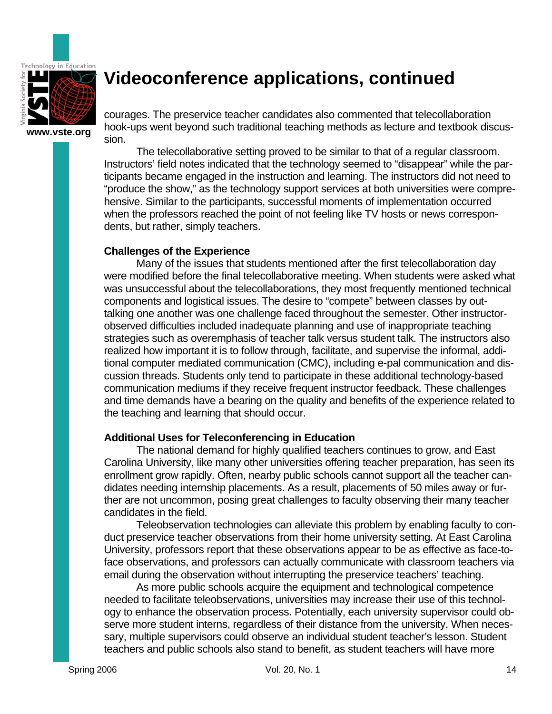

**www.vste.org** 

courages. The preservice teacher candidates also commented that telecollaboration hook-ups went beyond such traditional teaching methods as lecture and textbook discussion.

The telecollaborative setting proved to be similar to that of a regular classroom. Instructors' field notes indicated that the technology seemed to "disappear" while the participants became engaged in the instruction and learning. The instructors did not need to "produce the show," as the technology support services at both universities were comprehensive. Similar to the participants, successful moments of implementation occurred when the professors reached the point of not feeling like TV hosts or news correspondents, but rather, simply teachers.

### **Challenges of the Experience**

Many of the issues that students mentioned after the first telecollaboration day were modified before the final telecollaborative meeting. When students were asked what was unsuccessful about the telecollaborations, they most frequently mentioned technical components and logistical issues. The desire to "compete" between classes by outtalking one another was one challenge faced throughout the semester. Other instructorobserved difficulties included inadequate planning and use of inappropriate teaching strategies such as overemphasis of teacher talk versus student talk. The instructors also realized how important it is to follow through, facilitate, and supervise the informal, additional computer mediated communication (CMC), including e-pal communication and discussion threads. Students only tend to participate in these additional technology-based communication mediums if they receive frequent instructor feedback. These challenges and time demands have a bearing on the quality and benefits of the experience related to the teaching and learning that should occur.

### **Additional Uses for Teleconferencing in Education**

The national demand for highly qualified teachers continues to grow, and East Carolina University, like many other universities offering teacher preparation, has seen its enrollment grow rapidly. Often, nearby public schools cannot support all the teacher candidates needing internship placements. As a result, placements of 50 miles away or further are not uncommon, posing great challenges to faculty observing their many teacher candidates in the field.

Teleobservation technologies can alleviate this problem by enabling faculty to conduct preservice teacher observations from their home university setting. At East Carolina University, professors report that these observations appear to be as effective as face-toface observations, and professors can actually communicate with classroom teachers via email during the observation without interrupting the preservice teachers' teaching.

As more public schools acquire the equipment and technological competence needed to facilitate teleobservations, universities may increase their use of this technology to enhance the observation process. Potentially, each university supervisor could observe more student interns, regardless of their distance from the university. When necessary, multiple supervisors could observe an individual student teacher's lesson. Student teachers and public schools also stand to benefit, as student teachers will have more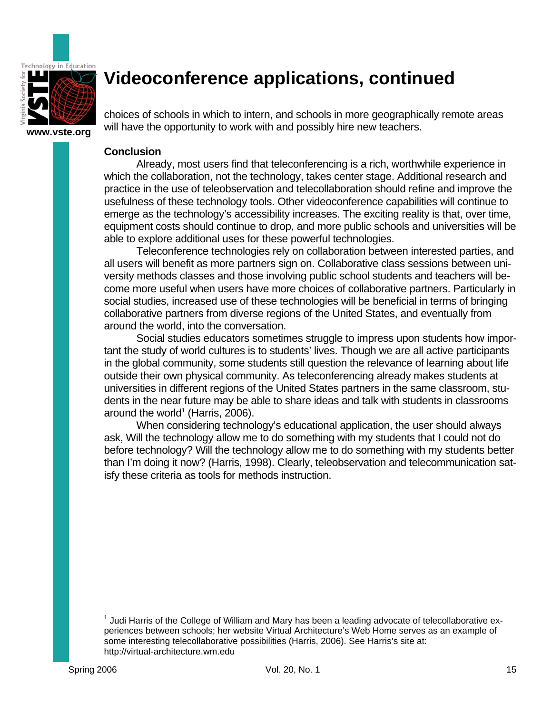

**www.vste.org** 

choices of schools in which to intern, and schools in more geographically remote areas will have the opportunity to work with and possibly hire new teachers.

#### **Conclusion**

Already, most users find that teleconferencing is a rich, worthwhile experience in which the collaboration, not the technology, takes center stage. Additional research and practice in the use of teleobservation and telecollaboration should refine and improve the usefulness of these technology tools. Other videoconference capabilities will continue to emerge as the technology's accessibility increases. The exciting reality is that, over time, equipment costs should continue to drop, and more public schools and universities will be able to explore additional uses for these powerful technologies.

Teleconference technologies rely on collaboration between interested parties, and all users will benefit as more partners sign on. Collaborative class sessions between university methods classes and those involving public school students and teachers will become more useful when users have more choices of collaborative partners. Particularly in social studies, increased use of these technologies will be beneficial in terms of bringing collaborative partners from diverse regions of the United States, and eventually from around the world, into the conversation.

Social studies educators sometimes struggle to impress upon students how important the study of world cultures is to students' lives. Though we are all active participants in the global community, some students still question the relevance of learning about life outside their own physical community. As teleconferencing already makes students at universities in different regions of the United States partners in the same classroom, students in the near future may be able to share ideas and talk with students in classrooms around the world<sup>1</sup> (Harris, 2006).

When considering technology's educational application, the user should always ask, Will the technology allow me to do something with my students that I could not do before technology? Will the technology allow me to do something with my students better than I'm doing it now? (Harris, 1998). Clearly, teleobservation and telecommunication satisfy these criteria as tools for methods instruction.

 $<sup>1</sup>$  Judi Harris of the College of William and Mary has been a leading advocate of telecollaborative ex-</sup> periences between schools; her website Virtual Architecture's Web Home serves as an example of some interesting telecollaborative possibilities (Harris, 2006). See Harris's site at: http://virtual-architecture.wm.edu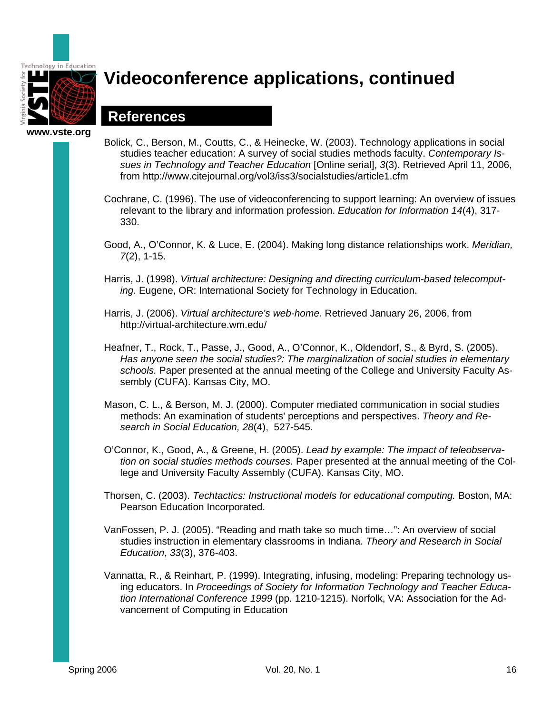

## **References**

- Bolick, C., Berson, M., Coutts, C., & Heinecke, W. (2003). Technology applications in social studies teacher education: A survey of social studies methods faculty. *Contemporary Issues in Technology and Teacher Education* [Online serial], *3*(3). Retrieved April 11, 2006, from http://www.citejournal.org/vol3/iss3/socialstudies/article1.cfm
- Cochrane, C. (1996). The use of videoconferencing to support learning: An overview of issues relevant to the library and information profession. *Education for Information 14*(4), 317- 330.
- Good, A., O'Connor, K. & Luce, E. (2004). Making long distance relationships work. *Meridian, 7*(2), 1-15.
- Harris, J. (1998). *Virtual architecture: Designing and directing curriculum-based telecomputing.* Eugene, OR: International Society for Technology in Education.
- Harris, J. (2006). *Virtual architecture's web-home.* Retrieved January 26, 2006, from http://virtual-architecture.wm.edu/
- Heafner, T., Rock, T., Passe, J., Good, A., O'Connor, K., Oldendorf, S., & Byrd, S. (2005). *Has anyone seen the social studies?: The marginalization of social studies in elementary schools.* Paper presented at the annual meeting of the College and University Faculty Assembly (CUFA). Kansas City, MO.
- Mason, C. L., & Berson, M. J. (2000). Computer mediated communication in social studies methods: An examination of students' perceptions and perspectives. *Theory and Research in Social Education, 28*(4), 527-545.
- O'Connor, K., Good, A., & Greene, H. (2005). *Lead by example: The impact of teleobservation on social studies methods courses.* Paper presented at the annual meeting of the College and University Faculty Assembly (CUFA). Kansas City, MO.
- Thorsen, C. (2003). *Techtactics: Instructional models for educational computing.* Boston, MA: Pearson Education Incorporated.
- VanFossen, P. J. (2005). "Reading and math take so much time…": An overview of social studies instruction in elementary classrooms in Indiana. *Theory and Research in Social Education*, *33*(3), 376-403.
- Vannatta, R., & Reinhart, P. (1999). Integrating, infusing, modeling: Preparing technology using educators. In *Proceedings of Society for Information Technology and Teacher Education International Conference 1999* (pp. 1210-1215). Norfolk, VA: Association for the Advancement of Computing in Education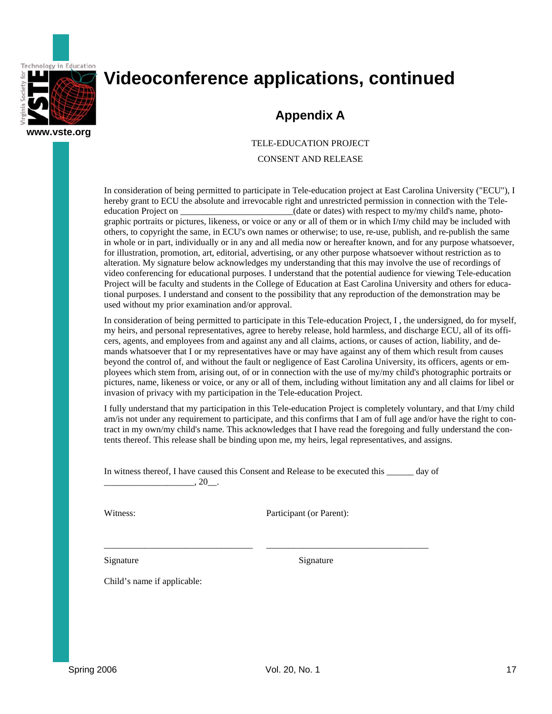

## **Appendix A**

TELE-EDUCATION PROJECT

CONSENT AND RELEASE

In consideration of being permitted to participate in Tele-education project at East Carolina University ("ECU"), I hereby grant to ECU the absolute and irrevocable right and unrestricted permission in connection with the Teleeducation Project on  $\qquad \qquad$  (date or dates) with respect to my/my child's name, photographic portraits or pictures, likeness, or voice or any or all of them or in which I/my child may be included with others, to copyright the same, in ECU's own names or otherwise; to use, re-use, publish, and re-publish the same in whole or in part, individually or in any and all media now or hereafter known, and for any purpose whatsoever, for illustration, promotion, art, editorial, advertising, or any other purpose whatsoever without restriction as to alteration. My signature below acknowledges my understanding that this may involve the use of recordings of video conferencing for educational purposes. I understand that the potential audience for viewing Tele-education Project will be faculty and students in the College of Education at East Carolina University and others for educational purposes. I understand and consent to the possibility that any reproduction of the demonstration may be used without my prior examination and/or approval.

In consideration of being permitted to participate in this Tele-education Project, I , the undersigned, do for myself, my heirs, and personal representatives, agree to hereby release, hold harmless, and discharge ECU, all of its officers, agents, and employees from and against any and all claims, actions, or causes of action, liability, and demands whatsoever that I or my representatives have or may have against any of them which result from causes beyond the control of, and without the fault or negligence of East Carolina University, its officers, agents or employees which stem from, arising out, of or in connection with the use of my/my child's photographic portraits or pictures, name, likeness or voice, or any or all of them, including without limitation any and all claims for libel or invasion of privacy with my participation in the Tele-education Project.

I fully understand that my participation in this Tele-education Project is completely voluntary, and that I/my child am/is not under any requirement to participate, and this confirms that I am of full age and/or have the right to contract in my own/my child's name. This acknowledges that I have read the foregoing and fully understand the contents thereof. This release shall be binding upon me, my heirs, legal representatives, and assigns.

In witness thereof, I have caused this Consent and Release to be executed this \_\_\_\_\_\_ day of  $, 20$  .

\_\_\_\_\_\_\_\_\_\_\_\_\_\_\_\_\_\_\_\_\_\_\_\_\_\_\_\_\_\_\_\_\_ \_\_\_\_\_\_\_\_\_\_\_\_\_\_\_\_\_\_\_\_\_\_\_\_\_\_\_\_\_\_\_\_\_\_\_\_

Witness: Participant (or Parent):

Signature Signature Signature

Child's name if applicable: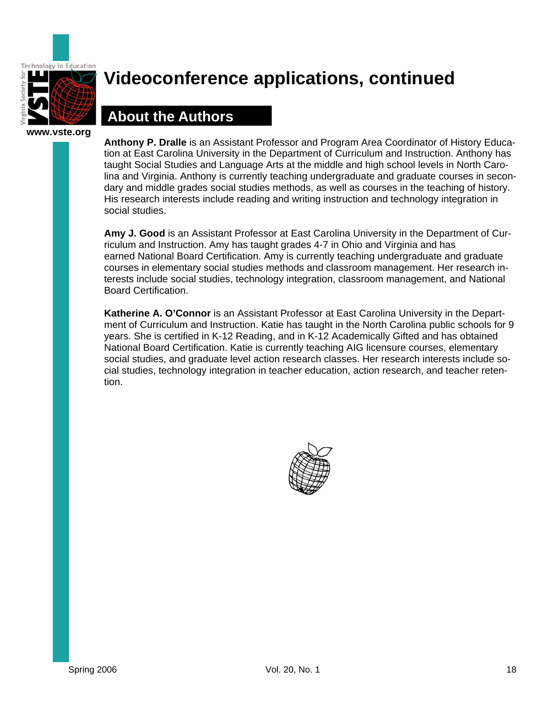

## **About the Authors**

**Anthony P. Dralle** is an Assistant Professor and Program Area Coordinator of History Education at East Carolina University in the Department of Curriculum and Instruction. Anthony has taught Social Studies and Language Arts at the middle and high school levels in North Carolina and Virginia. Anthony is currently teaching undergraduate and graduate courses in secondary and middle grades social studies methods, as well as courses in the teaching of history. His research interests include reading and writing instruction and technology integration in social studies.

**Amy J. Good** is an Assistant Professor at East Carolina University in the Department of Curriculum and Instruction. Amy has taught grades 4-7 in Ohio and Virginia and has earned National Board Certification. Amy is currently teaching undergraduate and graduate courses in elementary social studies methods and classroom management. Her research interests include social studies, technology integration, classroom management, and National Board Certification.

**Katherine A. O'Connor** is an Assistant Professor at East Carolina University in the Department of Curriculum and Instruction. Katie has taught in the North Carolina public schools for 9 years. She is certified in K-12 Reading, and in K-12 Academically Gifted and has obtained National Board Certification. Katie is currently teaching AIG licensure courses, elementary social studies, and graduate level action research classes. Her research interests include social studies, technology integration in teacher education, action research, and teacher retention.

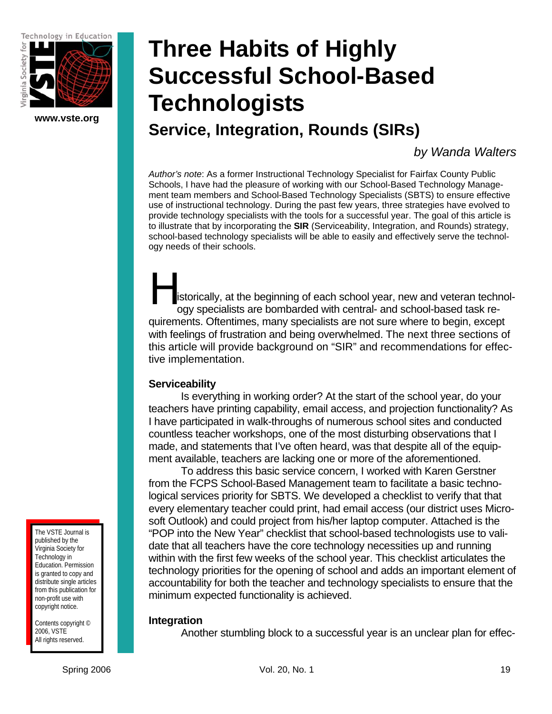Technology in Education



## **www.vste.org Successful School-Based Technologists**

**Service, Integration, Rounds (SIRs)** 

**Three Habits of Highly** 

*by Wanda Walters* 

*Author's note*: As a former Instructional Technology Specialist for Fairfax County Public Schools, I have had the pleasure of working with our School-Based Technology Management team members and School-Based Technology Specialists (SBTS) to ensure effective use of instructional technology. During the past few years, three strategies have evolved to provide technology specialists with the tools for a successful year. The goal of this article is to illustrate that by incorporating the **SIR** (Serviceability, Integration, and Rounds) strategy, school-based technology specialists will be able to easily and effectively serve the technology needs of their schools.

istorically, at the beginning of each school year, new and veteran technology specialists are bombarded with central- and school-based task requirements. Oftentimes, many specialists are not sure where to begin, except with feelings of frustration and being overwhelmed. The next three sections of this article will provide background on "SIR" and recommendations for effective implementation. H<br>istorie

### **Serviceability**

 Is everything in working order? At the start of the school year, do your teachers have printing capability, email access, and projection functionality? As I have participated in walk-throughs of numerous school sites and conducted countless teacher workshops, one of the most disturbing observations that I made, and statements that I've often heard, was that despite all of the equipment available, teachers are lacking one or more of the aforementioned.

 To address this basic service concern, I worked with Karen Gerstner from the FCPS School-Based Management team to facilitate a basic technological services priority for SBTS. We developed a checklist to verify that that every elementary teacher could print, had email access (our district uses Microsoft Outlook) and could project from his/her laptop computer. Attached is the "POP into the New Year" checklist that school-based technologists use to validate that all teachers have the core technology necessities up and running within with the first few weeks of the school year. This checklist articulates the technology priorities for the opening of school and adds an important element of accountability for both the teacher and technology specialists to ensure that the minimum expected functionality is achieved.

### **Integration**

Another stumbling block to a successful year is an unclear plan for effec-

The VSTE Journal is published by the Virginia Society for Technology in Education. Permission is granted to copy and distribute single articles from this publication for non-profit use with copyright notice.

Contents copyright © 2006, VSTE All rights reserved.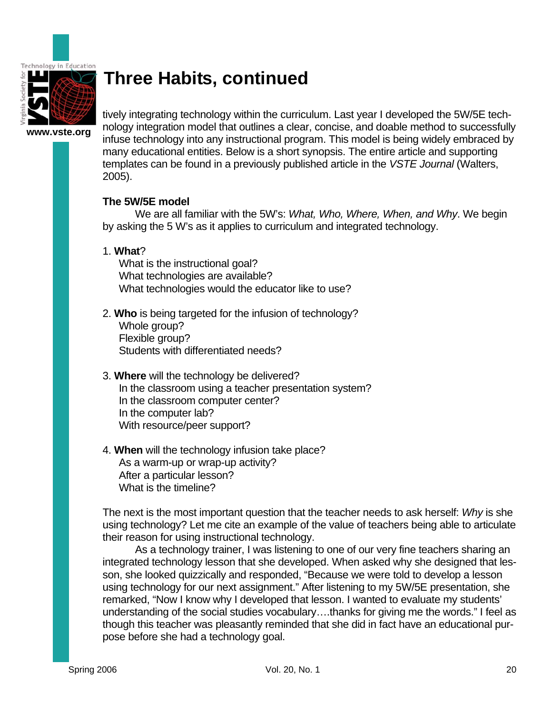

**www.vste.org**  tively integrating technology within the curriculum. Last year I developed the 5W/5E technology integration model that outlines a clear, concise, and doable method to successfully infuse technology into any instructional program. This model is being widely embraced by many educational entities. Below is a short synopsis. The entire article and supporting templates can be found in a previously published article in the *VSTE Journal* (Walters, 2005).

### **The 5W/5E model**

 We are all familiar with the 5W's: *What, Who, Where, When, and Why*. We begin by asking the 5 W's as it applies to curriculum and integrated technology.

### 1. **What**?

What is the instructional goal? What technologies are available? What technologies would the educator like to use?

- 2. **Who** is being targeted for the infusion of technology? Whole group? Flexible group? Students with differentiated needs?
- 3. **Where** will the technology be delivered? In the classroom using a teacher presentation system? In the classroom computer center? In the computer lab? With resource/peer support?
- 4. **When** will the technology infusion take place? As a warm-up or wrap-up activity? After a particular lesson? What is the timeline?

The next is the most important question that the teacher needs to ask herself: *Why* is she using technology? Let me cite an example of the value of teachers being able to articulate their reason for using instructional technology.

 As a technology trainer, I was listening to one of our very fine teachers sharing an integrated technology lesson that she developed. When asked why she designed that lesson, she looked quizzically and responded, "Because we were told to develop a lesson using technology for our next assignment." After listening to my 5W/5E presentation, she remarked, "Now I know why I developed that lesson. I wanted to evaluate my students' understanding of the social studies vocabulary….thanks for giving me the words." I feel as though this teacher was pleasantly reminded that she did in fact have an educational purpose before she had a technology goal.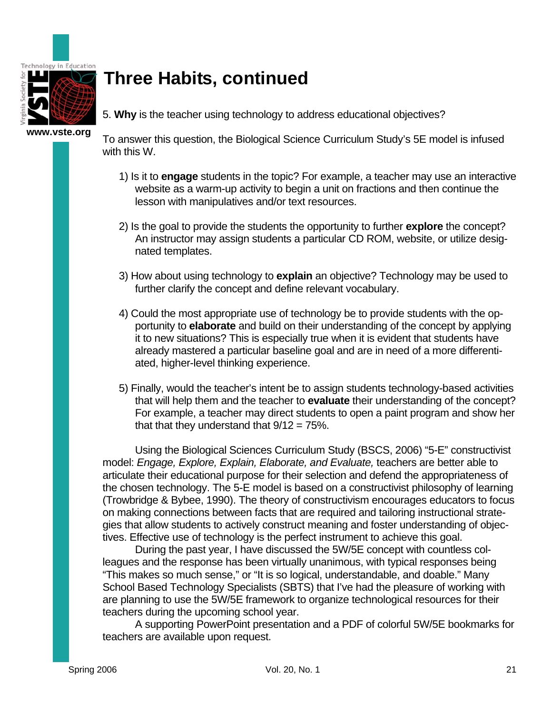

5. **Why** is the teacher using technology to address educational objectives?

**www.vste.org** 

To answer this question, the Biological Science Curriculum Study's 5E model is infused with this W.

- 1) Is it to **engage** students in the topic? For example, a teacher may use an interactive website as a warm-up activity to begin a unit on fractions and then continue the lesson with manipulatives and/or text resources.
- 2) Is the goal to provide the students the opportunity to further **explore** the concept? An instructor may assign students a particular CD ROM, website, or utilize designated templates.
- 3) How about using technology to **explain** an objective? Technology may be used to further clarify the concept and define relevant vocabulary.
- 4) Could the most appropriate use of technology be to provide students with the opportunity to **elaborate** and build on their understanding of the concept by applying it to new situations? This is especially true when it is evident that students have already mastered a particular baseline goal and are in need of a more differentiated, higher-level thinking experience.
- 5) Finally, would the teacher's intent be to assign students technology-based activities that will help them and the teacher to **evaluate** their understanding of the concept? For example, a teacher may direct students to open a paint program and show her that that they understand that  $9/12 = 75\%$ .

 Using the Biological Sciences Curriculum Study (BSCS, 2006) "5-E" constructivist model: *Engage, Explore, Explain, Elaborate, and Evaluate,* teachers are better able to articulate their educational purpose for their selection and defend the appropriateness of the chosen technology. The 5-E model is based on a constructivist philosophy of learning (Trowbridge & Bybee, 1990). The theory of constructivism encourages educators to focus on making connections between facts that are required and tailoring instructional strategies that allow students to actively construct meaning and foster understanding of objectives. Effective use of technology is the perfect instrument to achieve this goal.

 During the past year, I have discussed the 5W/5E concept with countless colleagues and the response has been virtually unanimous, with typical responses being "This makes so much sense," or "It is so logical, understandable, and doable." Many School Based Technology Specialists (SBTS) that I've had the pleasure of working with are planning to use the 5W/5E framework to organize technological resources for their teachers during the upcoming school year.

 A supporting PowerPoint presentation and a PDF of colorful 5W/5E bookmarks for teachers are available upon request.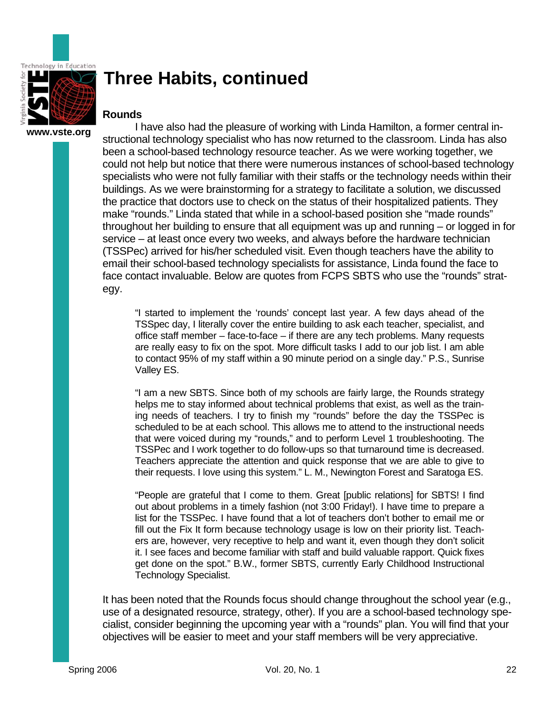

### **Rounds**

**www.vste.org** 

 I have also had the pleasure of working with Linda Hamilton, a former central instructional technology specialist who has now returned to the classroom. Linda has also been a school-based technology resource teacher. As we were working together, we could not help but notice that there were numerous instances of school-based technology specialists who were not fully familiar with their staffs or the technology needs within their buildings. As we were brainstorming for a strategy to facilitate a solution, we discussed the practice that doctors use to check on the status of their hospitalized patients. They make "rounds." Linda stated that while in a school-based position she "made rounds" throughout her building to ensure that all equipment was up and running – or logged in for service – at least once every two weeks, and always before the hardware technician (TSSPec) arrived for his/her scheduled visit. Even though teachers have the ability to email their school-based technology specialists for assistance, Linda found the face to face contact invaluable. Below are quotes from FCPS SBTS who use the "rounds" strategy.

"I started to implement the 'rounds' concept last year. A few days ahead of the TSSpec day, I literally cover the entire building to ask each teacher, specialist, and office staff member – face-to-face – if there are any tech problems. Many requests are really easy to fix on the spot. More difficult tasks I add to our job list. I am able to contact 95% of my staff within a 90 minute period on a single day." P.S., Sunrise Valley ES.

"I am a new SBTS. Since both of my schools are fairly large, the Rounds strategy helps me to stay informed about technical problems that exist, as well as the training needs of teachers. I try to finish my "rounds" before the day the TSSPec is scheduled to be at each school. This allows me to attend to the instructional needs that were voiced during my "rounds," and to perform Level 1 troubleshooting. The TSSPec and I work together to do follow-ups so that turnaround time is decreased. Teachers appreciate the attention and quick response that we are able to give to their requests. I love using this system." L. M., Newington Forest and Saratoga ES.

"People are grateful that I come to them. Great [public relations] for SBTS! I find out about problems in a timely fashion (not 3:00 Friday!). I have time to prepare a list for the TSSPec. I have found that a lot of teachers don't bother to email me or fill out the Fix It form because technology usage is low on their priority list. Teachers are, however, very receptive to help and want it, even though they don't solicit it. I see faces and become familiar with staff and build valuable rapport. Quick fixes get done on the spot." B.W., former SBTS, currently Early Childhood Instructional Technology Specialist.

It has been noted that the Rounds focus should change throughout the school year (e.g., use of a designated resource, strategy, other). If you are a school-based technology specialist, consider beginning the upcoming year with a "rounds" plan. You will find that your objectives will be easier to meet and your staff members will be very appreciative.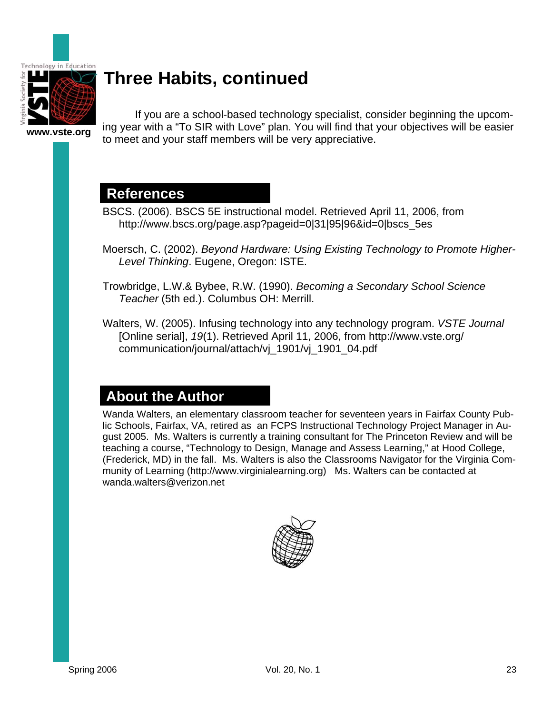

**www.vste.org** 

 If you are a school-based technology specialist, consider beginning the upcoming year with a "To SIR with Love" plan. You will find that your objectives will be easier to meet and your staff members will be very appreciative.

## **References**

- BSCS. (2006). BSCS 5E instructional model. Retrieved April 11, 2006, from http://www.bscs.org/page.asp?pageid=0|31|95|96&id=0|bscs\_5es
- Moersch, C. (2002). *Beyond Hardware: Using Existing Technology to Promote Higher-Level Thinking*. Eugene, Oregon: ISTE.
- Trowbridge, L.W.& Bybee, R.W. (1990). *Becoming a Secondary School Science Teacher* (5th ed.). Columbus OH: Merrill.
- Walters, W. (2005). Infusing technology into any technology program. *VSTE Journal*  [Online serial], *19*(1). Retrieved April 11, 2006, from http://www.vste.org/ communication/journal/attach/vj\_1901/vj\_1901\_04.pdf

## **About the Author**

Wanda Walters, an elementary classroom teacher for seventeen years in Fairfax County Public Schools, Fairfax, VA, retired as an FCPS Instructional Technology Project Manager in August 2005. Ms. Walters is currently a training consultant for The Princeton Review and will be teaching a course, "Technology to Design, Manage and Assess Learning," at Hood College, (Frederick, MD) in the fall. Ms. Walters is also the Classrooms Navigator for the Virginia Community of Learning (http://www.virginialearning.org) Ms. Walters can be contacted at wanda.walters@verizon.net

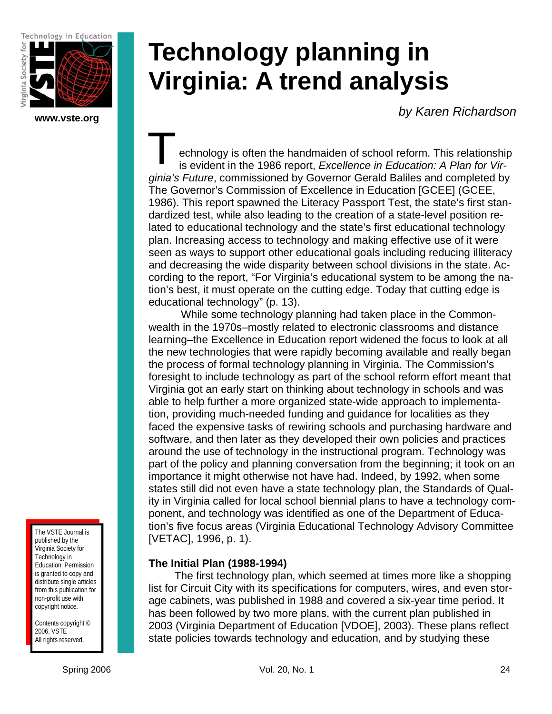Technology in Education



**www.vste.org** 

# **Technology planning in Virginia: A trend analysis**

*by Karen Richardson* 

echnology is often the handmaiden of school reform. This relationship is evident in the 1986 report, *Excellence in Education: A Plan for Virginia's Future*, commissioned by Governor Gerald Baliles and completed by The Governor's Commission of Excellence in Education [GCEE] (GCEE, 1986). This report spawned the Literacy Passport Test, the state's first standardized test, while also leading to the creation of a state-level position related to educational technology and the state's first educational technology plan. Increasing access to technology and making effective use of it were seen as ways to support other educational goals including reducing illiteracy and decreasing the wide disparity between school divisions in the state. According to the report, "For Virginia's educational system to be among the nation's best, it must operate on the cutting edge. Today that cutting edge is educational technology" (p. 13). T<br>is ev

 While some technology planning had taken place in the Commonwealth in the 1970s–mostly related to electronic classrooms and distance learning–the Excellence in Education report widened the focus to look at all the new technologies that were rapidly becoming available and really began the process of formal technology planning in Virginia. The Commission's foresight to include technology as part of the school reform effort meant that Virginia got an early start on thinking about technology in schools and was able to help further a more organized state-wide approach to implementation, providing much-needed funding and guidance for localities as they faced the expensive tasks of rewiring schools and purchasing hardware and software, and then later as they developed their own policies and practices around the use of technology in the instructional program. Technology was part of the policy and planning conversation from the beginning; it took on an importance it might otherwise not have had. Indeed, by 1992, when some states still did not even have a state technology plan, the Standards of Quality in Virginia called for local school biennial plans to have a technology component, and technology was identified as one of the Department of Education's five focus areas (Virginia Educational Technology Advisory Committee [VETAC], 1996, p. 1).

## **The Initial Plan (1988-1994)**

The first technology plan, which seemed at times more like a shopping list for Circuit City with its specifications for computers, wires, and even storage cabinets, was published in 1988 and covered a six-year time period. It has been followed by two more plans, with the current plan published in 2003 (Virginia Department of Education [VDOE], 2003). These plans reflect state policies towards technology and education, and by studying these

The VSTE Journal is published by the Virginia Society for Technology in Education. Permission is granted to copy and distribute single articles from this publication for non-profit use with copyright notice.

Contents copyright © 2006, VSTE All rights reserved.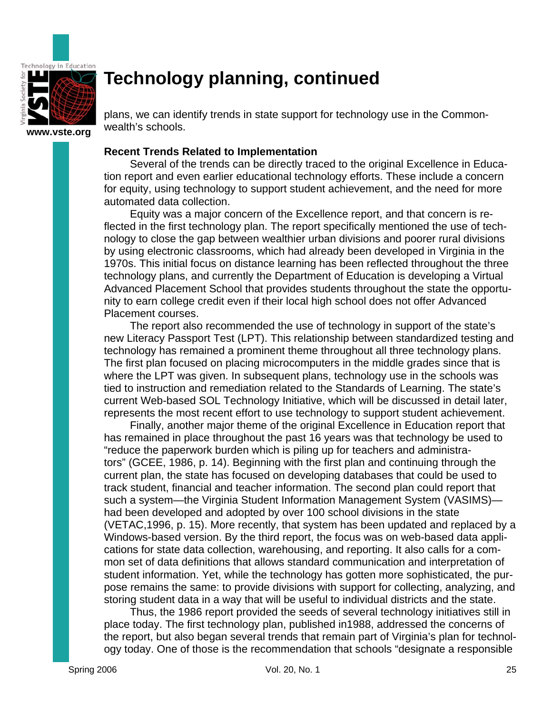

plans, we can identify trends in state support for technology use in the Commonwealth's schools.

### **Recent Trends Related to Implementation**

Several of the trends can be directly traced to the original Excellence in Education report and even earlier educational technology efforts. These include a concern for equity, using technology to support student achievement, and the need for more automated data collection.

Equity was a major concern of the Excellence report, and that concern is reflected in the first technology plan. The report specifically mentioned the use of technology to close the gap between wealthier urban divisions and poorer rural divisions by using electronic classrooms, which had already been developed in Virginia in the 1970s. This initial focus on distance learning has been reflected throughout the three technology plans, and currently the Department of Education is developing a Virtual Advanced Placement School that provides students throughout the state the opportunity to earn college credit even if their local high school does not offer Advanced Placement courses.

The report also recommended the use of technology in support of the state's new Literacy Passport Test (LPT). This relationship between standardized testing and technology has remained a prominent theme throughout all three technology plans. The first plan focused on placing microcomputers in the middle grades since that is where the LPT was given. In subsequent plans, technology use in the schools was tied to instruction and remediation related to the Standards of Learning. The state's current Web-based SOL Technology Initiative, which will be discussed in detail later, represents the most recent effort to use technology to support student achievement.

Finally, another major theme of the original Excellence in Education report that has remained in place throughout the past 16 years was that technology be used to "reduce the paperwork burden which is piling up for teachers and administrators" (GCEE, 1986, p. 14). Beginning with the first plan and continuing through the current plan, the state has focused on developing databases that could be used to track student, financial and teacher information. The second plan could report that such a system—the Virginia Student Information Management System (VASIMS) had been developed and adopted by over 100 school divisions in the state (VETAC,1996, p. 15). More recently, that system has been updated and replaced by a Windows-based version. By the third report, the focus was on web-based data applications for state data collection, warehousing, and reporting. It also calls for a common set of data definitions that allows standard communication and interpretation of student information. Yet, while the technology has gotten more sophisticated, the purpose remains the same: to provide divisions with support for collecting, analyzing, and storing student data in a way that will be useful to individual districts and the state.

Thus, the 1986 report provided the seeds of several technology initiatives still in place today. The first technology plan, published in1988, addressed the concerns of the report, but also began several trends that remain part of Virginia's plan for technology today. One of those is the recommendation that schools "designate a responsible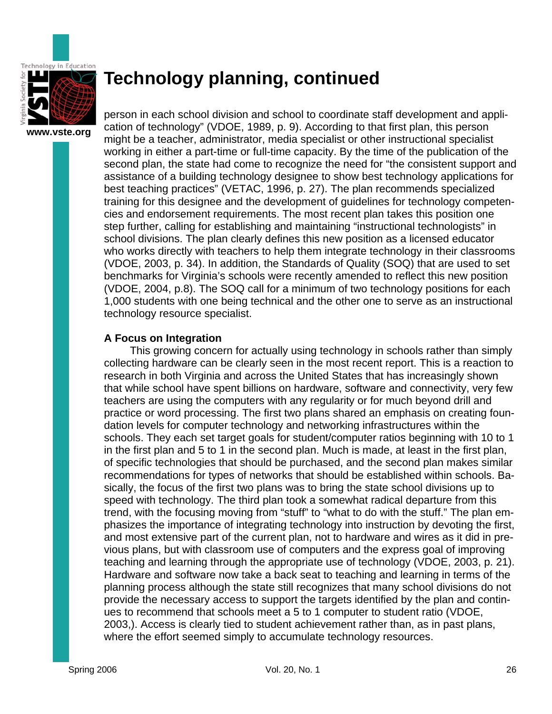

person in each school division and school to coordinate staff development and application of technology" (VDOE, 1989, p. 9). According to that first plan, this person might be a teacher, administrator, media specialist or other instructional specialist working in either a part-time or full-time capacity. By the time of the publication of the second plan, the state had come to recognize the need for "the consistent support and assistance of a building technology designee to show best technology applications for best teaching practices" (VETAC, 1996, p. 27). The plan recommends specialized training for this designee and the development of guidelines for technology competencies and endorsement requirements. The most recent plan takes this position one step further, calling for establishing and maintaining "instructional technologists" in school divisions. The plan clearly defines this new position as a licensed educator who works directly with teachers to help them integrate technology in their classrooms (VDOE, 2003, p. 34). In addition, the Standards of Quality (SOQ) that are used to set benchmarks for Virginia's schools were recently amended to reflect this new position (VDOE, 2004, p.8). The SOQ call for a minimum of two technology positions for each 1,000 students with one being technical and the other one to serve as an instructional technology resource specialist.

### **A Focus on Integration**

This growing concern for actually using technology in schools rather than simply collecting hardware can be clearly seen in the most recent report. This is a reaction to research in both Virginia and across the United States that has increasingly shown that while school have spent billions on hardware, software and connectivity, very few teachers are using the computers with any regularity or for much beyond drill and practice or word processing. The first two plans shared an emphasis on creating foundation levels for computer technology and networking infrastructures within the schools. They each set target goals for student/computer ratios beginning with 10 to 1 in the first plan and 5 to 1 in the second plan. Much is made, at least in the first plan, of specific technologies that should be purchased, and the second plan makes similar recommendations for types of networks that should be established within schools. Basically, the focus of the first two plans was to bring the state school divisions up to speed with technology. The third plan took a somewhat radical departure from this trend, with the focusing moving from "stuff" to "what to do with the stuff." The plan emphasizes the importance of integrating technology into instruction by devoting the first, and most extensive part of the current plan, not to hardware and wires as it did in previous plans, but with classroom use of computers and the express goal of improving teaching and learning through the appropriate use of technology (VDOE, 2003, p. 21). Hardware and software now take a back seat to teaching and learning in terms of the planning process although the state still recognizes that many school divisions do not provide the necessary access to support the targets identified by the plan and continues to recommend that schools meet a 5 to 1 computer to student ratio (VDOE, 2003,). Access is clearly tied to student achievement rather than, as in past plans, where the effort seemed simply to accumulate technology resources.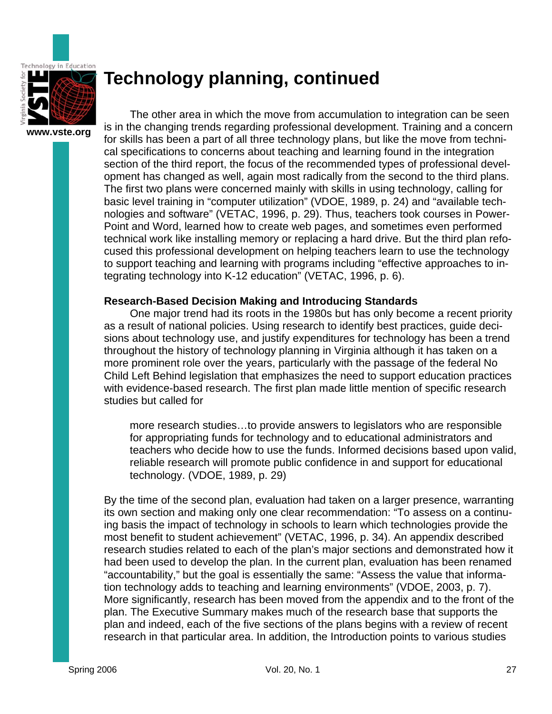

The other area in which the move from accumulation to integration can be seen is in the changing trends regarding professional development. Training and a concern for skills has been a part of all three technology plans, but like the move from technical specifications to concerns about teaching and learning found in the integration section of the third report, the focus of the recommended types of professional development has changed as well, again most radically from the second to the third plans. The first two plans were concerned mainly with skills in using technology, calling for basic level training in "computer utilization" (VDOE, 1989, p. 24) and "available technologies and software" (VETAC, 1996, p. 29). Thus, teachers took courses in Power-Point and Word, learned how to create web pages, and sometimes even performed technical work like installing memory or replacing a hard drive. But the third plan refocused this professional development on helping teachers learn to use the technology to support teaching and learning with programs including "effective approaches to integrating technology into K-12 education" (VETAC, 1996, p. 6).

### **Research-Based Decision Making and Introducing Standards**

One major trend had its roots in the 1980s but has only become a recent priority as a result of national policies. Using research to identify best practices, guide decisions about technology use, and justify expenditures for technology has been a trend throughout the history of technology planning in Virginia although it has taken on a more prominent role over the years, particularly with the passage of the federal No Child Left Behind legislation that emphasizes the need to support education practices with evidence-based research. The first plan made little mention of specific research studies but called for

more research studies…to provide answers to legislators who are responsible for appropriating funds for technology and to educational administrators and teachers who decide how to use the funds. Informed decisions based upon valid, reliable research will promote public confidence in and support for educational technology. (VDOE, 1989, p. 29)

By the time of the second plan, evaluation had taken on a larger presence, warranting its own section and making only one clear recommendation: "To assess on a continuing basis the impact of technology in schools to learn which technologies provide the most benefit to student achievement" (VETAC, 1996, p. 34). An appendix described research studies related to each of the plan's major sections and demonstrated how it had been used to develop the plan. In the current plan, evaluation has been renamed "accountability," but the goal is essentially the same: "Assess the value that information technology adds to teaching and learning environments" (VDOE, 2003, p. 7). More significantly, research has been moved from the appendix and to the front of the plan. The Executive Summary makes much of the research base that supports the plan and indeed, each of the five sections of the plans begins with a review of recent research in that particular area. In addition, the Introduction points to various studies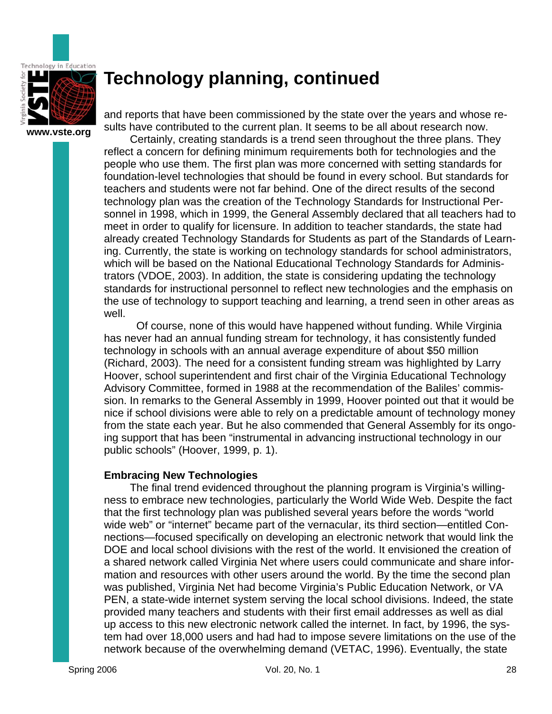

and reports that have been commissioned by the state over the years and whose results have contributed to the current plan. It seems to be all about research now.

Certainly, creating standards is a trend seen throughout the three plans. They reflect a concern for defining minimum requirements both for technologies and the people who use them. The first plan was more concerned with setting standards for foundation-level technologies that should be found in every school. But standards for teachers and students were not far behind. One of the direct results of the second technology plan was the creation of the Technology Standards for Instructional Personnel in 1998, which in 1999, the General Assembly declared that all teachers had to meet in order to qualify for licensure. In addition to teacher standards, the state had already created Technology Standards for Students as part of the Standards of Learning. Currently, the state is working on technology standards for school administrators, which will be based on the National Educational Technology Standards for Administrators (VDOE, 2003). In addition, the state is considering updating the technology standards for instructional personnel to reflect new technologies and the emphasis on the use of technology to support teaching and learning, a trend seen in other areas as well.

 Of course, none of this would have happened without funding. While Virginia has never had an annual funding stream for technology, it has consistently funded technology in schools with an annual average expenditure of about \$50 million (Richard, 2003). The need for a consistent funding stream was highlighted by Larry Hoover, school superintendent and first chair of the Virginia Educational Technology Advisory Committee, formed in 1988 at the recommendation of the Baliles' commission. In remarks to the General Assembly in 1999, Hoover pointed out that it would be nice if school divisions were able to rely on a predictable amount of technology money from the state each year. But he also commended that General Assembly for its ongoing support that has been "instrumental in advancing instructional technology in our public schools" (Hoover, 1999, p. 1).

### **Embracing New Technologies**

The final trend evidenced throughout the planning program is Virginia's willingness to embrace new technologies, particularly the World Wide Web. Despite the fact that the first technology plan was published several years before the words "world wide web" or "internet" became part of the vernacular, its third section—entitled Connections—focused specifically on developing an electronic network that would link the DOE and local school divisions with the rest of the world. It envisioned the creation of a shared network called Virginia Net where users could communicate and share information and resources with other users around the world. By the time the second plan was published, Virginia Net had become Virginia's Public Education Network, or VA PEN, a state-wide internet system serving the local school divisions. Indeed, the state provided many teachers and students with their first email addresses as well as dial up access to this new electronic network called the internet. In fact, by 1996, the system had over 18,000 users and had had to impose severe limitations on the use of the network because of the overwhelming demand (VETAC, 1996). Eventually, the state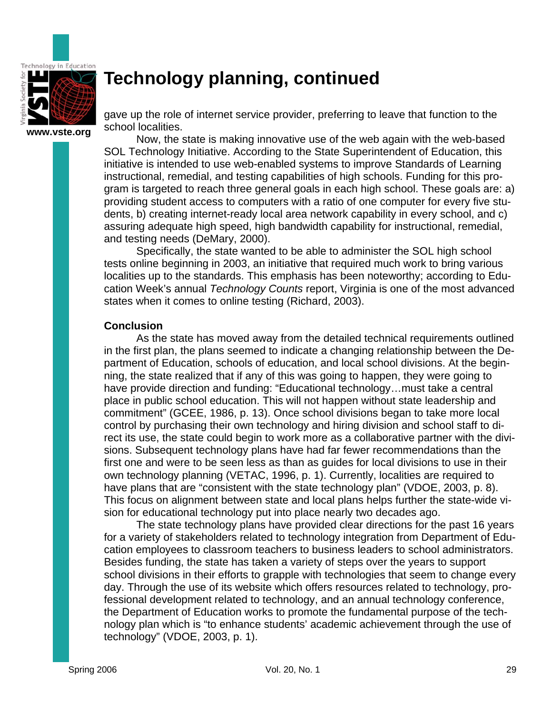

gave up the role of internet service provider, preferring to leave that function to the school localities.

Now, the state is making innovative use of the web again with the web-based SOL Technology Initiative. According to the State Superintendent of Education, this initiative is intended to use web-enabled systems to improve Standards of Learning instructional, remedial, and testing capabilities of high schools. Funding for this program is targeted to reach three general goals in each high school. These goals are: a) providing student access to computers with a ratio of one computer for every five students, b) creating internet-ready local area network capability in every school, and c) assuring adequate high speed, high bandwidth capability for instructional, remedial, and testing needs (DeMary, 2000).

Specifically, the state wanted to be able to administer the SOL high school tests online beginning in 2003, an initiative that required much work to bring various localities up to the standards. This emphasis has been noteworthy; according to Education Week's annual *Technology Counts* report, Virginia is one of the most advanced states when it comes to online testing (Richard, 2003).

### **Conclusion**

As the state has moved away from the detailed technical requirements outlined in the first plan, the plans seemed to indicate a changing relationship between the Department of Education, schools of education, and local school divisions. At the beginning, the state realized that if any of this was going to happen, they were going to have provide direction and funding: "Educational technology...must take a central place in public school education. This will not happen without state leadership and commitment" (GCEE, 1986, p. 13). Once school divisions began to take more local control by purchasing their own technology and hiring division and school staff to direct its use, the state could begin to work more as a collaborative partner with the divisions. Subsequent technology plans have had far fewer recommendations than the first one and were to be seen less as than as guides for local divisions to use in their own technology planning (VETAC, 1996, p. 1). Currently, localities are required to have plans that are "consistent with the state technology plan" (VDOE, 2003, p. 8). This focus on alignment between state and local plans helps further the state-wide vision for educational technology put into place nearly two decades ago.

The state technology plans have provided clear directions for the past 16 years for a variety of stakeholders related to technology integration from Department of Education employees to classroom teachers to business leaders to school administrators. Besides funding, the state has taken a variety of steps over the years to support school divisions in their efforts to grapple with technologies that seem to change every day. Through the use of its website which offers resources related to technology, professional development related to technology, and an annual technology conference, the Department of Education works to promote the fundamental purpose of the technology plan which is "to enhance students' academic achievement through the use of technology" (VDOE, 2003, p. 1).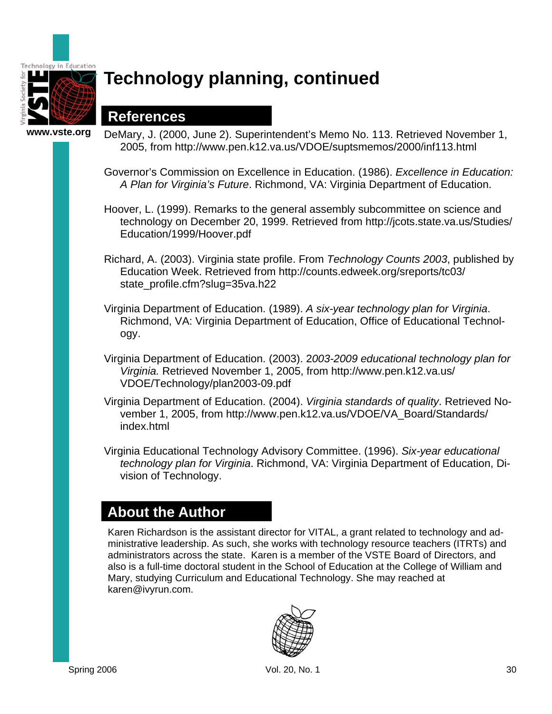

## **References**

**www.vste.org** 

- DeMary, J. (2000, June 2). Superintendent's Memo No. 113. Retrieved November 1, 2005, from http://www.pen.k12.va.us/VDOE/suptsmemos/2000/inf113.html
	- Governor's Commission on Excellence in Education. (1986). *Excellence in Education: A Plan for Virginia's Future*. Richmond, VA: Virginia Department of Education.
	- Hoover, L. (1999). Remarks to the general assembly subcommittee on science and technology on December 20, 1999. Retrieved from http://jcots.state.va.us/Studies/ Education/1999/Hoover.pdf
	- Richard, A. (2003). Virginia state profile. From *Technology Counts 2003*, published by Education Week. Retrieved from http://counts.edweek.org/sreports/tc03/ state\_profile.cfm?slug=35va.h22
	- Virginia Department of Education. (1989). *A six-year technology plan for Virginia*. Richmond, VA: Virginia Department of Education, Office of Educational Technology.
	- Virginia Department of Education. (2003). 2*003-2009 educational technology plan for Virginia.* Retrieved November 1, 2005, from http://www.pen.k12.va.us/ VDOE/Technology/plan2003-09.pdf
	- Virginia Department of Education. (2004). *Virginia standards of quality*. Retrieved November 1, 2005, from http://www.pen.k12.va.us/VDOE/VA\_Board/Standards/ index.html
	- Virginia Educational Technology Advisory Committee. (1996). *Six-year educational technology plan for Virginia*. Richmond, VA: Virginia Department of Education, Division of Technology.

## **About the Author**

Karen Richardson is the assistant director for VITAL, a grant related to technology and administrative leadership. As such, she works with technology resource teachers (ITRTs) and administrators across the state. Karen is a member of the VSTE Board of Directors, and also is a full-time doctoral student in the School of Education at the College of William and Mary, studying Curriculum and Educational Technology. She may reached at karen@ivyrun.com.